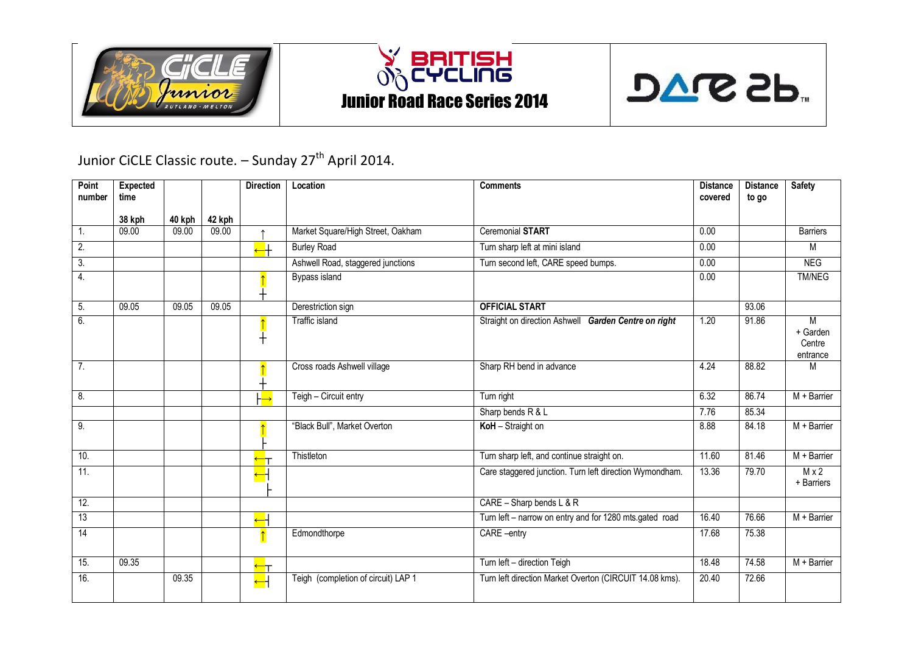





Junior CiCLE Classic route. - Sunday 27<sup>th</sup> April 2014.

| <b>Point</b><br>number | Expected<br>time |        |        | <b>Direction</b>                               | Location                            | <b>Comments</b>                                         | <b>Distance</b><br>covered | <b>Distance</b> | <b>Safety</b>                       |
|------------------------|------------------|--------|--------|------------------------------------------------|-------------------------------------|---------------------------------------------------------|----------------------------|-----------------|-------------------------------------|
|                        |                  |        |        |                                                |                                     |                                                         |                            | to go           |                                     |
|                        | 38 kph           | 40 kph | 42 kph |                                                |                                     |                                                         |                            |                 |                                     |
| 1.                     | 09.00            | 09.00  | 09.00  | $\uparrow$                                     | Market Square/High Street, Oakham   | <b>Ceremonial START</b>                                 | 0.00                       |                 | <b>Barriers</b>                     |
| 2.                     |                  |        |        | $\overline{\overline{\phantom{a}}\phantom{a}}$ | <b>Burley Road</b>                  | Turn sharp left at mini island                          | 0.00                       |                 | М                                   |
| 3.                     |                  |        |        |                                                | Ashwell Road, staggered junctions   | Turn second left, CARE speed bumps.                     | 0.00                       |                 | <b>NEG</b>                          |
| 4.                     |                  |        |        |                                                | Bypass island                       |                                                         | 0.00                       |                 | <b>TM/NEG</b>                       |
| 5.                     | 09.05            | 09.05  | 09.05  |                                                | Derestriction sign                  | <b>OFFICIAL START</b>                                   |                            | 93.06           |                                     |
| 6.                     |                  |        |        | $\pm$                                          | Traffic island                      | Straight on direction Ashwell Garden Centre on right    | 1.20                       | 91.86           | M<br>+ Garden<br>Centre<br>entrance |
| 7.                     |                  |        |        |                                                | Cross roads Ashwell village         | Sharp RH bend in advance                                | 4.24                       | 88.82           | M                                   |
| 8.                     |                  |        |        |                                                | Teigh - Circuit entry               | Turn right                                              | 6.32                       | 86.74           | $M + Barrier$                       |
|                        |                  |        |        |                                                |                                     | Sharp bends R & L                                       | 7.76                       | 85.34           |                                     |
| 9.                     |                  |        |        |                                                | "Black Bull", Market Overton        | KoH - Straight on                                       | 8.88                       | 84.18           | $M + Barrier$                       |
| 10.                    |                  |        |        |                                                | Thistleton                          | Turn sharp left, and continue straight on.              | 11.60                      | 81.46           | $M + B$ arrier                      |
| 11.                    |                  |        |        | ┶┥                                             |                                     | Care staggered junction. Turn left direction Wymondham. | 13.36                      | 79.70           | $M \times 2$<br>+ Barriers          |
| 12.                    |                  |        |        |                                                |                                     | CARE - Sharp bends $L & R$                              |                            |                 |                                     |
| 13                     |                  |        |        | $\overline{\phantom{a}}$                       |                                     | Turn left - narrow on entry and for 1280 mts.gated road | 16.40                      | 76.66           | $M + Barrier$                       |
| 14                     |                  |        |        |                                                | Edmondthorpe                        | CARE -entry                                             | 17.68                      | 75.38           |                                     |
| 15.                    | 09.35            |        |        | ┶┰                                             |                                     | Turn left - direction Teigh                             | 18.48                      | 74.58           | $M + Barrier$                       |
| 16.                    |                  | 09.35  |        | $\overline{\phantom{0}}$                       | Teigh (completion of circuit) LAP 1 | Turn left direction Market Overton (CIRCUIT 14.08 kms). | 20.40                      | 72.66           |                                     |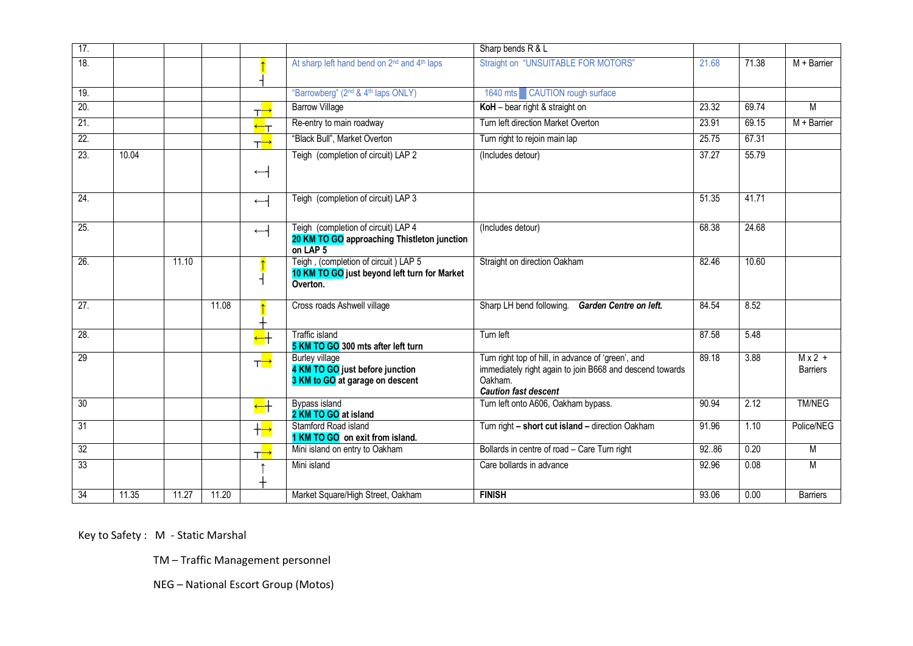| 17.               |       |       |       |                                                |                                                                                                           | Sharp bends R & L                                                                                                                                        |       |       |                             |
|-------------------|-------|-------|-------|------------------------------------------------|-----------------------------------------------------------------------------------------------------------|----------------------------------------------------------------------------------------------------------------------------------------------------------|-------|-------|-----------------------------|
| 18.               |       |       |       |                                                | At sharp left hand bend on 2 <sup>nd</sup> and 4 <sup>th</sup> laps                                       | <b>Straight on "UNSUITABLE FOR MOTORS"</b>                                                                                                               | 21.68 | 71.38 | $M + B$ arrier              |
| 19.               |       |       |       |                                                | "Barrowberg" (2 <sup>nd</sup> & 4 <sup>th</sup> laps ONLY)                                                | 1640 mts <b>E</b> CAUTION rough surface                                                                                                                  |       |       |                             |
| 20.               |       |       |       | ┬ <mark>→</mark>                               | <b>Barrow Village</b>                                                                                     | KoH - bear right & straight on                                                                                                                           | 23.32 | 69.74 | M                           |
| 21.               |       |       |       | ┶┱                                             | Re-entry to main roadway                                                                                  | Turn left direction Market Overton                                                                                                                       | 23.91 | 69.15 | $M + B$ arrier              |
| 22.               |       |       |       | ┬ <mark>→</mark>                               | "Black Bull", Market Overton                                                                              | Turn right to rejoin main lap                                                                                                                            | 25.75 | 67.31 |                             |
| 23.               | 10.04 |       |       | $\leftarrow$                                   | Teigh (completion of circuit) LAP 2                                                                       | (Includes detour)                                                                                                                                        | 37.27 | 55.79 |                             |
|                   |       |       |       |                                                |                                                                                                           |                                                                                                                                                          |       |       |                             |
| $\overline{24}$ . |       |       |       | $\leftarrow$                                   | Teigh (completion of circuit) LAP 3                                                                       |                                                                                                                                                          | 51.35 | 41.71 |                             |
| $\overline{25}$ . |       |       |       | $\leftarrow$                                   | Teigh (completion of circuit) LAP 4<br>20 KM TO GO approaching Thistleton junction<br>on LAP <sub>5</sub> | (Includes detour)                                                                                                                                        | 68.38 | 24.68 |                             |
| 26.               |       | 11.10 |       |                                                | Teigh, (completion of circuit) LAP 5<br>10 KM TO GO just beyond left turn for Market<br>Overton.          | Straight on direction Oakham                                                                                                                             | 82.46 | 10.60 |                             |
| $\overline{27}$ . |       |       | 11.08 |                                                | Cross roads Ashwell village                                                                               | Sharp LH bend following. Garden Centre on left.                                                                                                          | 84.54 | 8.52  |                             |
| 28.               |       |       |       | $\overline{\phantom{a}}$                       | <b>Traffic island</b><br>5 KM TO GO 300 mts after left turn                                               | Turn left                                                                                                                                                | 87.58 | 5.48  |                             |
| 29                |       |       |       | ┰ <mark>═</mark>                               | <b>Burley village</b><br>4 KM TO GO just before junction<br>3 KM to GO at garage on descent               | Turn right top of hill, in advance of 'green', and<br>immediately right again to join B668 and descend towards<br>Oakham.<br><b>Caution fast descent</b> | 89.18 | 3.88  | $Mx^2$ +<br><b>Barriers</b> |
| $\overline{30}$   |       |       |       | $\overline{\overline{\phantom{a}}\phantom{a}}$ | Bypass island<br>2 KM TO GO at island                                                                     | Turn left onto A606, Oakham bypass.                                                                                                                      | 90.94 | 2.12  | <b>TM/NEG</b>               |
| $\overline{31}$   |       |       |       | $+\rightarrow$                                 | Stamford Road island<br>1 KM TO GO on exit from island.                                                   | Turn right - short cut island - direction Oakham                                                                                                         | 91.96 | 1.10  | Police/NEG                  |
| 32                |       |       |       | ┬─→                                            | Mini island on entry to Oakham                                                                            | Bollards in centre of road - Care Turn right                                                                                                             | 92.86 | 0.20  | M                           |
| 33                |       |       |       |                                                | Mini island                                                                                               | Care bollards in advance                                                                                                                                 | 92.96 | 0.08  | M                           |
| 34                | 11.35 | 11.27 | 11.20 |                                                | Market Square/High Street, Oakham                                                                         | <b>FINISH</b>                                                                                                                                            | 93.06 | 0.00  | <b>Barriers</b>             |

Key to Safety : M - Static Marshal

TM – Traffic Management personnel

NEG – National Escort Group (Motos)